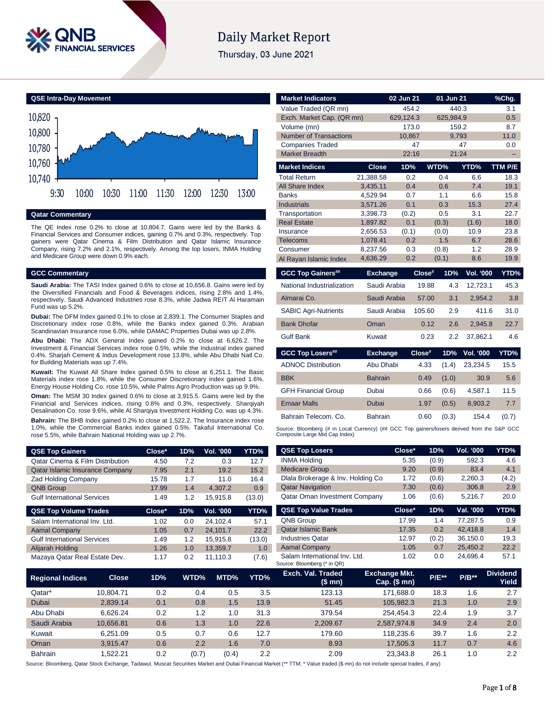

# **Daily Market Report**

Thursday, 03 June 2021



### **Qatar Commentary**

The QE Index rose 0.2% to close at 10,804.7. Gains were led by the Banks & Financial Services and Consumer indices, gaining 0.7% and 0.3%, respectively. Top gainers were Qatar Cinema & Film Distribution and Qatar Islamic Insurance Company, rising 7.2% and 2.1%, respectively. Among the top losers, INMA Holding and Medicare Group were down 0.9% each.

# **GCC Commentary**

**Saudi Arabia:** The TASI Index gained 0.6% to close at 10,656.8. Gains were led by the Diversified Financials and Food & Beverages indices, rising 2.8% and 1.4%, respectively. Saudi Advanced Industries rose 8.3%, while Jadwa REIT Al Haramain Fund was up 5.2%.

**Dubai:** The DFM Index gained 0.1% to close at 2,839.1. The Consumer Staples and Discretionary index rose 0.8%, while the Banks index gained 0.3%. Arabian Scandinavian Insurance rose 6.0%, while DAMAC Properties Dubai was up 2.8%.

**Abu Dhabi:** The ADX General Index gained 0.2% to close at 6,626.2. The Investment & Financial Services index rose 0.5%, while the Industrial index gained 0.4%. Sharjah Cement & Indus Development rose 13.8%, while Abu Dhabi Natl Co. for Building Materials was up 7.4%.

**Kuwait:** The Kuwait All Share Index gained 0.5% to close at 6,251.1. The Basic Materials index rose 1.8%, while the Consumer Discretionary index gained 1.6%. Energy House Holding Co. rose 10.5%, while Palms Agro Production was up 9.9%.

**Oman:** The MSM 30 Index gained 0.6% to close at 3,915.5. Gains were led by the Financial and Services indices, rising 0.8% and 0.3%, respectively. Sharqiyah Desalination Co. rose 9.6%, while Al Sharqiya Investment Holding Co. was up 4.3%.

**Bahrain:** The BHB Index gained 0.2% to close at 1,522.2. The Insurance index rose 1.0%, while the Commercial Banks index gained 0.5%. Takaful International Co. rose 5.5%, while Bahrain National Holding was up 2.7%.

| <b>QSE Top Gainers</b>                      | Close*   | 1D% | Vol. '000 | YTD%   |
|---------------------------------------------|----------|-----|-----------|--------|
| <b>Qatar Cinema &amp; Film Distribution</b> | 4.50     | 7.2 | 0.3       | 12.7   |
| <b>Qatar Islamic Insurance Company</b>      | 7.95     | 2.1 | 19.2      | 15.2   |
| <b>Zad Holding Company</b>                  | 15.78    | 1.7 | 11.0      | 16.4   |
| <b>QNB Group</b>                            | 17.99    | 1.4 | 4.307.2   | 0.9    |
| <b>Gulf International Services</b>          | 1.49     | 1.2 | 15.915.8  | (13.0) |
| <b>QSE Top Volume Trades</b>                | $Close*$ | 1D% | Vol. '000 | YTD%   |

| <b>GOL TOP TORING TRUGS</b>        | .    | .   | .        | .      |
|------------------------------------|------|-----|----------|--------|
| Salam International Inv. Ltd.      | 1.02 | 0.0 | 24.102.4 | 57.1   |
| <b>Aamal Company</b>               | 1.05 | 0.7 | 24.101.7 | 22.2   |
| <b>Gulf International Services</b> | 1.49 | 1.2 | 15.915.8 | (13.0) |
| Alijarah Holding                   | 1.26 | 1.0 | 13.359.7 | 1.0    |
| Mazaya Qatar Real Estate Dev.      | 1.17 | 0.2 | 11.110.3 | (7.6)  |

| <b>Market Indicators</b>             |                      | 02 Jun 21    |        | 01 Jun 21    |                  | %Chg.        |
|--------------------------------------|----------------------|--------------|--------|--------------|------------------|--------------|
| Value Traded (QR mn)                 |                      | 454.2        |        | 440.3        |                  | 3.1          |
| Exch. Market Cap. (QR mn)            |                      | 629,124.3    |        | 625,984.9    |                  | 0.5          |
| Volume (mn)                          |                      | 173.0        |        | 159.2        |                  | 8.7          |
| <b>Number of Transactions</b>        |                      | 10,867       |        | 9.793        |                  | 11.0         |
| <b>Companies Traded</b>              |                      | 47           |        |              | 47               | 0.0          |
| <b>Market Breadth</b>                |                      | 22:16        |        | 21:24        |                  | ÷,           |
| <b>Market Indices</b>                | <b>Close</b>         | 1D%          | WTD%   |              | YTD%             | TTM P/E      |
| <b>Total Return</b>                  | 21,388.58            | 0.2          |        | 0.4          | 6.6              | 18.3         |
| <b>All Share Index</b>               | 3.435.11             | 0.4          |        | 0.6          | 7.4              | 19.1         |
| <b>Banks</b>                         | 4,529.94             | 0.7          |        | 1.1          | 6.6              | 15.8         |
| <b>Industrials</b>                   | 3,571.26             | 0.1          |        | 0.3          | 15.3             | 27.4         |
| Transportation<br><b>Real Estate</b> | 3,398.73             | (0.2)        |        | 0.5          | 3.1              | 22.7         |
| Insurance                            | 1,897.82<br>2.656.53 | 0.1<br>(0.1) |        | (0.3)        | (1.6)<br>10.9    | 18.0<br>23.8 |
| Telecoms                             | 1,078.41             | 0.2          |        | (0.0)<br>1.5 | 6.7              | 28.6         |
| Consumer                             | 8,237.56             | 0.3          |        | (0.8)        | 1.2              | 28.9         |
| Al Rayan Islamic Index               | 4,636.29             | 0.2          |        | (0.1)        | 8.6              | 19.9         |
|                                      |                      |              |        |              |                  |              |
|                                      |                      |              |        |              |                  |              |
| <b>GCC Top Gainers##</b>             | <b>Exchange</b>      |              | Close# | 1D%          | <b>Vol. '000</b> | YTD%         |
| National Industrialization           | Saudi Arabia         |              | 19.88  | 4.3          | 12,723.1         | 45.3         |
| Almarai Co.                          | Saudi Arabia         |              | 57.00  | 3.1          | 2,954.2          | 3.8          |
| <b>SABIC Agri-Nutrients</b>          | Saudi Arabia         |              | 105.60 | 2.9          | 411.6            | 31.0         |
| <b>Bank Dhofar</b>                   | Oman                 |              | 0.12   | 2.6          | 2.945.8          | 22.7         |
| Gulf Bank                            | Kuwait               |              | 0.23   | 2.2          | 37,862.1         | 4.6          |
| <b>GCC Top Losers##</b>              | <b>Exchange</b>      |              | Close# | 1D%          | <b>Vol. '000</b> | YTD%         |
| <b>ADNOC Distribution</b>            | Abu Dhabi            |              | 4.33   | (1.4)        | 23,234.5         | 15.5         |
| <b>BBK</b>                           | <b>Bahrain</b>       |              | 0.49   | (1.0)        | 30.9             | 5.6          |
| <b>GFH Financial Group</b>           | Dubai                |              | 0.66   | (0.6)        | 4,587.1          | 11.5         |
| <b>Emaar Malls</b>                   | Dubai                |              | 1.97   | (0.5)        | 8,903.2          | 7.7          |
| Bahrain Telecom, Co.                 | <b>Bahrain</b>       |              | 0.60   | (0.3)        | 154.4            | (0.7)        |

| <b>QSE Top Losers</b>              | Close* | 1D%   | <b>Vol. '000</b> | YTD%  |
|------------------------------------|--------|-------|------------------|-------|
| <b>INMA Holding</b>                | 5.35   | (0.9) | 592.3            | 4.6   |
| <b>Medicare Group</b>              | 9.20   | (0.9) | 83.4             | 4.1   |
| Dlala Brokerage & Inv. Holding Co. | 1.72   | (0.6) | 2,260.3          | (4.2) |
| <b>Qatar Navigation</b>            | 7.30   | (0.6) | 306.8            | 2.9   |
| Qatar Oman Investment Company      | 1.06   | (0.6) | 5.216.7          | 20.0  |
|                                    |        |       |                  |       |
| <b>QSE Top Value Trades</b>        | Close* | 1D%   | Val. '000        | YTD%  |
| <b>QNB Group</b>                   | 17.99  | 1.4   | 77.287.5         | 0.9   |
| <b>Qatar Islamic Bank</b>          | 17.35  | 0.2   | 42.418.8         | 1.4   |
| <b>Industries Qatar</b>            | 12.97  | (0.2) | 36.150.0         | 19.3  |
| <b>Aamal Company</b>               | 1.05   | 0.7   | 25,450.2         | 22.2  |

| <b>Regional Indices</b> | <b>Close</b> | 1D% | WTD%  | MTD%  | YTD% | Exch. Val. Traded<br>(\$ mn) | <b>Exchange Mkt.</b><br>$Cap.$ (\$ mn) | <b>P/E**</b> | $P/B**$ | <b>Dividend</b><br>Yield |
|-------------------------|--------------|-----|-------|-------|------|------------------------------|----------------------------------------|--------------|---------|--------------------------|
| Qatar*                  | 10.804.71    | 0.2 | 0.4   | 0.5   | 3.5  | 123.13                       | 171.688.0                              | 18.3         | 1.6     | 2.7                      |
| <b>Dubai</b>            | 2.839.14     | 0.1 | 0.8   | 1.5   | 13.9 | 51.45                        | 105.982.3                              | 21.3         | 1.0     | 2.9                      |
| Abu Dhabi               | 6.626.24     | 0.2 | 1.2   | 0. ا  | 31.3 | 379.54                       | 254.454.3                              | 22.4         | 1.9     | 3.7                      |
| Saudi Arabia            | 10.656.81    | 0.6 | 1.3   | 1.0   | 22.6 | 2.209.67                     | 2,587,974.8                            | 34.9         | 2.4     | 2.0                      |
| Kuwait                  | 6.251.09     | 0.5 | 0.7   | 0.6   | 12.7 | 179.60                       | 118.235.6                              | 39.7         | 1.6     | 2.2                      |
| Oman                    | 3.915.47     | 0.6 | 2.2   | 1.6   | 7.0  | 8.93                         | 17.505.3                               | 11.7         | 0.7     | 4.6                      |
| <b>Bahrain</b>          | .522.21      | 0.2 | (0.7) | (0.4) | 2.2  | 2.09                         | 23.343.8                               | 26.1         | 1.0     | 2.2                      |

Source: Bloomberg, Qatar Stock Exchange, Tadawul, Muscat Securities Market and Dubai Financial Market (\*\* TTM; \* Value traded (\$ mn) do not include special trades, if any)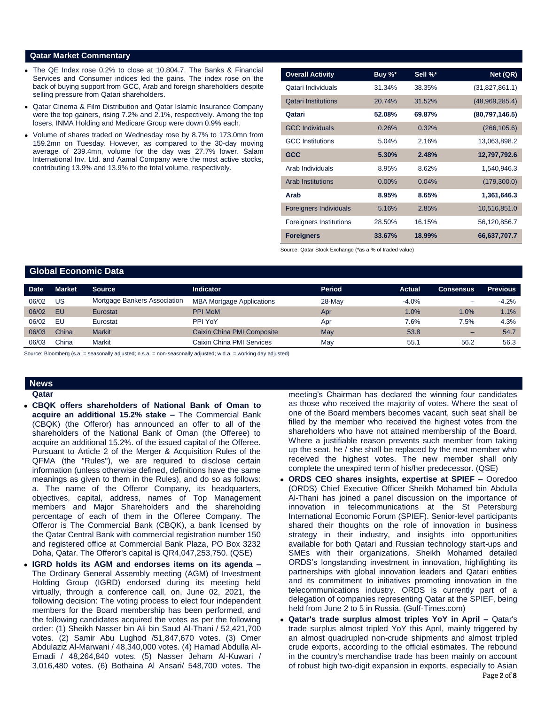### **Qatar Market Commentary**

- The QE Index rose 0.2% to close at 10,804.7. The Banks & Financial Services and Consumer indices led the gains. The index rose on the back of buying support from GCC, Arab and foreign shareholders despite selling pressure from Qatari shareholders.
- Qatar Cinema & Film Distribution and Qatar Islamic Insurance Company were the top gainers, rising 7.2% and 2.1%, respectively. Among the top losers, INMA Holding and Medicare Group were down 0.9% each.
- Volume of shares traded on Wednesday rose by 8.7% to 173.0mn from 159.2mn on Tuesday. However, as compared to the 30-day moving average of 239.4mn, volume for the day was 27.7% lower. Salam International Inv. Ltd. and Aamal Company were the most active stocks, contributing 13.9% and 13.9% to the total volume, respectively.

| <b>Overall Activity</b>       | Buy %*   | Sell %* | Net (QR)         |
|-------------------------------|----------|---------|------------------|
| Qatari Individuals            | 31.34%   | 38.35%  | (31, 827, 861.1) |
| <b>Oatari Institutions</b>    | 20.74%   | 31.52%  | (48,969,285.4)   |
| Qatari                        | 52.08%   | 69.87%  | (80,797,146.5)   |
| <b>GCC Individuals</b>        | 0.26%    | 0.32%   | (266, 105.6)     |
| <b>GCC</b> Institutions       | 5.04%    | 2.16%   | 13,063,898.2     |
| <b>GCC</b>                    | 5.30%    | 2.48%   | 12,797,792.6     |
| Arab Individuals              | 8.95%    | 8.62%   | 1,540,946.3      |
| <b>Arab Institutions</b>      | $0.00\%$ | 0.04%   | (179,300.0)      |
| Arab                          | 8.95%    | 8.65%   | 1,361,646.3      |
| <b>Foreigners Individuals</b> | 5.16%    | 2.85%   | 10,516,851.0     |
| Foreigners Institutions       | 28.50%   | 16.15%  | 56,120,856.7     |
| <b>Foreigners</b>             | 33.67%   | 18.99%  | 66,637,707.7     |

Source: Qatar Stock Exchange (\*as a % of traded value)

# **Global Economic Data**

| <b>Date</b> | <b>Market</b> | <b>Source</b>                | <b>Indicator</b>                 | <b>Period</b> | Actual  | <b>Consensus</b>         | <b>Previous</b> |
|-------------|---------------|------------------------------|----------------------------------|---------------|---------|--------------------------|-----------------|
| 06/02       | US            | Mortgage Bankers Association | <b>MBA Mortgage Applications</b> | $28-May$      | $-4.0%$ | $\qquad \qquad$          | $-4.2%$         |
| 06/02       | EU            | Eurostat                     | <b>PPI MoM</b>                   | Apr           | 1.0%    | $1.0\%$                  | 1.1%            |
| 06/02       | EU            | Eurostat                     | PPI YoY                          | Apr           | 7.6%    | 7.5%                     | 4.3%            |
| 06/03       | China         | <b>Markit</b>                | Caixin China PMI Composite       | May           | 53.8    | $\overline{\phantom{0}}$ | 54.7            |
| 06/03       | China         | Markit                       | Caixin China PMI Services        | Mav           | 55.1    | 56.2                     | 56.3            |

Source: Bloomberg (s.a. = seasonally adjusted; n.s.a. = non-seasonally adjusted; w.d.a. = working day adjusted)

### **News Qatar**

- **CBQK offers shareholders of National Bank of Oman to acquire an additional 15.2% stake –** The Commercial Bank (CBQK) (the Offeror) has announced an offer to all of the shareholders of the National Bank of Oman (the Offeree) to acquire an additional 15.2%. of the issued capital of the Offeree. Pursuant to Article 2 of the Merger & Acquisition Rules of the QFMA (the "Rules"), we are required to disclose certain information (unless otherwise defined, definitions have the same meanings as given to them in the Rules), and do so as follows: a. The name of the Offeror Company, its headquarters, objectives, capital, address, names of Top Management members and Major Shareholders and the shareholding percentage of each of them in the Offeree Company. The Offeror is The Commercial Bank (CBQK), a bank licensed by the Qatar Central Bank with commercial registration number 150 and registered office at Commercial Bank Plaza, PO Box 3232 Doha, Qatar. The Offeror's capital is QR4,047,253,750. (QSE)
- **IGRD holds its AGM and endorses items on its agenda –** The Ordinary General Assembly meeting (AGM) of Investment Holding Group (IGRD) endorsed during its meeting held virtually, through a conference call, on, June 02, 2021, the following decision: The voting process to elect four independent members for the Board membership has been performed, and the following candidates acquired the votes as per the following order: (1) Sheikh Nasser bin Ali bin Saud Al-Thani / 52,421,700 votes. (2) Samir Abu Lughod /51,847,670 votes. (3) Omer Abdulaziz Al-Marwani / 48,340,000 votes. (4) Hamad Abdulla Al-Emadi / 48,264,840 votes. (5) Nasser Jeham Al-Kuwari / 3,016,480 votes. (6) Bothaina Al Ansari/ 548,700 votes. The

meeting's Chairman has declared the winning four candidates as those who received the majority of votes. Where the seat of one of the Board members becomes vacant, such seat shall be filled by the member who received the highest votes from the shareholders who have not attained membership of the Board. Where a justifiable reason prevents such member from taking up the seat, he / she shall be replaced by the next member who received the highest votes. The new member shall only complete the unexpired term of his/her predecessor. (QSE)

- **ORDS CEO shares insights, expertise at SPIEF –** Ooredoo (ORDS) Chief Executive Officer Sheikh Mohamed bin Abdulla Al-Thani has joined a panel discussion on the importance of innovation in telecommunications at the St Petersburg International Economic Forum (SPIEF). Senior-level participants shared their thoughts on the role of innovation in business strategy in their industry, and insights into opportunities available for both Qatari and Russian technology start-ups and SMEs with their organizations. Sheikh Mohamed detailed ORDS's longstanding investment in innovation, highlighting its partnerships with global innovation leaders and Qatari entities and its commitment to initiatives promoting innovation in the telecommunications industry. ORDS is currently part of a delegation of companies representing Qatar at the SPIEF, being held from June 2 to 5 in Russia. (Gulf-Times.com)
- **Qatar's trade surplus almost triples YoY in April –** Qatar's trade surplus almost tripled YoY this April, mainly triggered by an almost quadrupled non-crude shipments and almost tripled crude exports, according to the official estimates. The rebound in the country's merchandise trade has been mainly on account of robust high two-digit expansion in exports, especially to Asian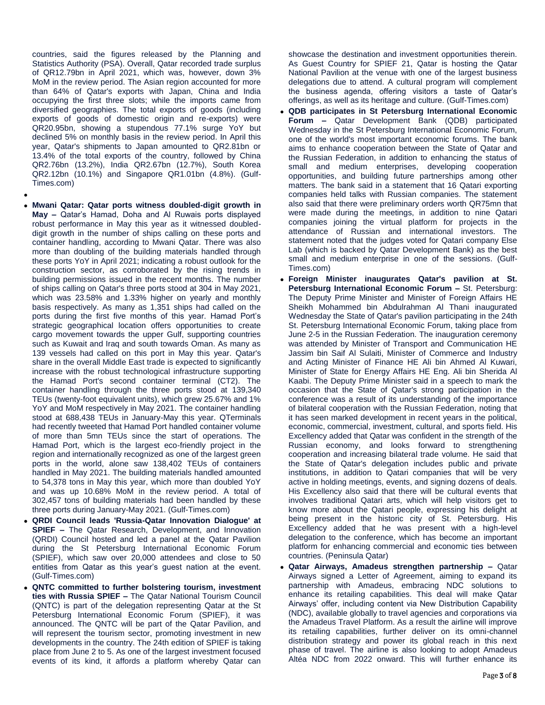countries, said the figures released by the Planning and Statistics Authority (PSA). Overall, Qatar recorded trade surplus of QR12.79bn in April 2021, which was, however, down 3% MoM in the review period. The Asian region accounted for more than 64% of Qatar's exports with Japan, China and India occupying the first three slots; while the imports came from diversified geographies. The total exports of goods (including exports of goods of domestic origin and re-exports) were QR20.95bn, showing a stupendous 77.1% surge YoY but declined 5% on monthly basis in the review period. In April this year, Qatar's shipments to Japan amounted to QR2.81bn or 13.4% of the total exports of the country, followed by China QR2.76bn (13.2%), India QR2.67bn (12.7%), South Korea QR2.12bn (10.1%) and Singapore QR1.01bn (4.8%). (Gulf-Times.com)

- $\bullet$  **Mwani Qatar: Qatar ports witness doubled-digit growth in May –** Qatar's Hamad, Doha and Al Ruwais ports displayed robust performance in May this year as it witnessed doubleddigit growth in the number of ships calling on these ports and container handling, according to Mwani Qatar. There was also more than doubling of the building materials handled through these ports YoY in April 2021; indicating a robust outlook for the construction sector, as corroborated by the rising trends in building permissions issued in the recent months. The number of ships calling on Qatar's three ports stood at 304 in May 2021, which was 23.58% and 1.33% higher on yearly and monthly basis respectively. As many as 1,351 ships had called on the ports during the first five months of this year. Hamad Port's strategic geographical location offers opportunities to create cargo movement towards the upper Gulf, supporting countries such as Kuwait and Iraq and south towards Oman. As many as 139 vessels had called on this port in May this year. Qatar's share in the overall Middle East trade is expected to significantly increase with the robust technological infrastructure supporting the Hamad Port's second container terminal (CT2). The container handling through the three ports stood at 139,340 TEUs (twenty-foot equivalent units), which grew 25.67% and 1% YoY and MoM respectively in May 2021. The container handling stood at 688,438 TEUs in January-May this year. QTerminals had recently tweeted that Hamad Port handled container volume of more than 5mn TEUs since the start of operations. The Hamad Port, which is the largest eco-friendly project in the region and internationally recognized as one of the largest green ports in the world, alone saw 138,402 TEUs of containers handled in May 2021. The building materials handled amounted to 54,378 tons in May this year, which more than doubled YoY and was up 10.68% MoM in the review period. A total of 302,457 tons of building materials had been handled by these three ports during January-May 2021. (Gulf-Times.com)
- **QRDI Council leads 'Russia-Qatar Innovation Dialogue' at SPIEF –** The Qatar Research, Development, and Innovation (QRDI) Council hosted and led a panel at the Qatar Pavilion during the St Petersburg International Economic Forum (SPIEF), which saw over 20,000 attendees and close to 50 entities from Qatar as this year's guest nation at the event. (Gulf-Times.com)
- **QNTC committed to further bolstering tourism, investment ties with Russia SPIEF –** The Qatar National Tourism Council (QNTC) is part of the delegation representing Qatar at the St Petersburg International Economic Forum (SPIEF), it was announced. The QNTC will be part of the Qatar Pavilion, and will represent the tourism sector, promoting investment in new developments in the country. The 24th edition of SPIEF is taking place from June 2 to 5. As one of the largest investment focused events of its kind, it affords a platform whereby Qatar can

showcase the destination and investment opportunities therein. As Guest Country for SPIEF 21, Qatar is hosting the Qatar National Pavilion at the venue with one of the largest business delegations due to attend. A cultural program will complement the business agenda, offering visitors a taste of Qatar's offerings, as well as its heritage and culture. (Gulf-Times.com)

- **QDB participates in St Petersburg International Economic Forum –** Qatar Development Bank (QDB) participated Wednesday in the St Petersburg International Economic Forum, one of the world's most important economic forums. The bank aims to enhance cooperation between the State of Qatar and the Russian Federation, in addition to enhancing the status of small and medium enterprises, developing cooperation opportunities, and building future partnerships among other matters. The bank said in a statement that 16 Qatari exporting companies held talks with Russian companies. The statement also said that there were preliminary orders worth QR75mn that were made during the meetings, in addition to nine Qatari companies joining the virtual platform for projects in the attendance of Russian and international investors. The statement noted that the judges voted for Qatari company Else Lab (which is backed by Qatar Development Bank) as the best small and medium enterprise in one of the sessions. (Gulf-Times.com)
- **Foreign Minister inaugurates Qatar's pavilion at St. Petersburg International Economic Forum –** St. Petersburg: The Deputy Prime Minister and Minister of Foreign Affairs HE Sheikh Mohammed bin Abdulrahman Al Thani inaugurated Wednesday the State of Qatar's pavilion participating in the 24th St. Petersburg International Economic Forum, taking place from June 2-5 in the Russian Federation. The inauguration ceremony was attended by Minister of Transport and Communication HE Jassim bin Saif Al Sulaiti, Minister of Commerce and Industry and Acting Minister of Finance HE Ali bin Ahmed Al Kuwari, Minister of State for Energy Affairs HE Eng. Ali bin Sherida Al Kaabi. The Deputy Prime Minister said in a speech to mark the occasion that the State of Qatar's strong participation in the conference was a result of its understanding of the importance of bilateral cooperation with the Russian Federation, noting that it has seen marked development in recent years in the political, economic, commercial, investment, cultural, and sports field. His Excellency added that Qatar was confident in the strength of the Russian economy, and looks forward to strengthening cooperation and increasing bilateral trade volume. He said that the State of Qatar's delegation includes public and private institutions, in addition to Qatari companies that will be very active in holding meetings, events, and signing dozens of deals. His Excellency also said that there will be cultural events that involves traditional Qatari arts, which will help visitors get to know more about the Qatari people, expressing his delight at being present in the historic city of St. Petersburg. His Excellency added that he was present with a high-level delegation to the conference, which has become an important platform for enhancing commercial and economic ties between countries. (Peninsula Qatar)
- **Qatar Airways, Amadeus strengthen partnership –** Qatar Airways signed a Letter of Agreement, aiming to expand its partnership with Amadeus, embracing NDC solutions to enhance its retailing capabilities. This deal will make Qatar Airways' offer, including content via New Distribution Capability (NDC), available globally to travel agencies and corporations via the Amadeus Travel Platform. As a result the airline will improve its retailing capabilities, further deliver on its omni-channel distribution strategy and power its global reach in this next phase of travel. The airline is also looking to adopt Amadeus Altéa NDC from 2022 onward. This will further enhance its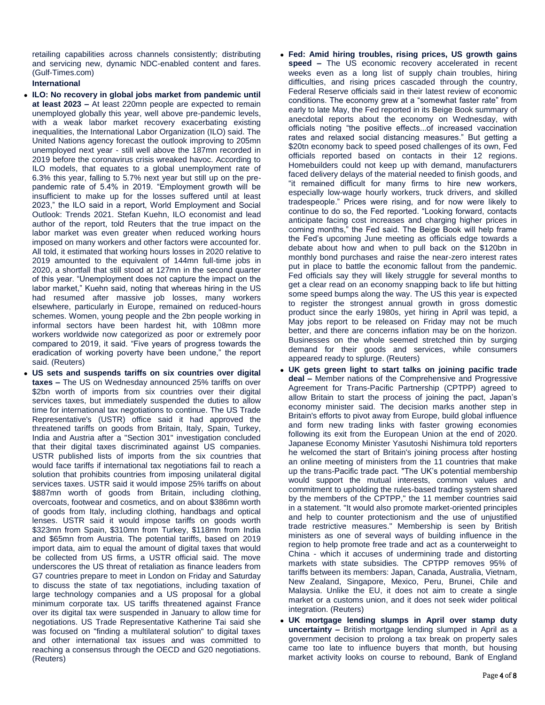retailing capabilities across channels consistently; distributing and servicing new, dynamic NDC-enabled content and fares. (Gulf-Times.com)

# **International**

- **ILO: No recovery in global jobs market from pandemic until at least 2023 –** At least 220mn people are expected to remain unemployed globally this year, well above pre-pandemic levels, with a weak labor market recovery exacerbating existing inequalities, the International Labor Organization (ILO) said. The United Nations agency forecast the outlook improving to 205mn unemployed next year - still well above the 187mn recorded in 2019 before the coronavirus crisis wreaked havoc. According to ILO models, that equates to a global unemployment rate of 6.3% this year, falling to 5.7% next year but still up on the prepandemic rate of 5.4% in 2019. "Employment growth will be insufficient to make up for the losses suffered until at least 2023," the ILO said in a report, World Employment and Social Outlook: Trends 2021. Stefan Kuehn, ILO economist and lead author of the report, told Reuters that the true impact on the labor market was even greater when reduced working hours imposed on many workers and other factors were accounted for. All told, it estimated that working hours losses in 2020 relative to 2019 amounted to the equivalent of 144mn full-time jobs in 2020, a shortfall that still stood at 127mn in the second quarter of this year. "Unemployment does not capture the impact on the labor market," Kuehn said, noting that whereas hiring in the US had resumed after massive job losses, many workers elsewhere, particularly in Europe, remained on reduced-hours schemes. Women, young people and the 2bn people working in informal sectors have been hardest hit, with 108mn more workers worldwide now categorized as poor or extremely poor compared to 2019, it said. "Five years of progress towards the eradication of working poverty have been undone," the report said. (Reuters)
- **US sets and suspends tariffs on six countries over digital taxes –** The US on Wednesday announced 25% tariffs on over \$2bn worth of imports from six countries over their digital services taxes, but immediately suspended the duties to allow time for international tax negotiations to continue. The US Trade Representative's (USTR) office said it had approved the threatened tariffs on goods from Britain, Italy, Spain, Turkey, India and Austria after a "Section 301" investigation concluded that their digital taxes discriminated against US companies. USTR published lists of imports from the six countries that would face tariffs if international tax negotiations fail to reach a solution that prohibits countries from imposing unilateral digital services taxes. USTR said it would impose 25% tariffs on about \$887mn worth of goods from Britain, including clothing, overcoats, footwear and cosmetics, and on about \$386mn worth of goods from Italy, including clothing, handbags and optical lenses. USTR said it would impose tariffs on goods worth \$323mn from Spain, \$310mn from Turkey, \$118mn from India and \$65mn from Austria. The potential tariffs, based on 2019 import data, aim to equal the amount of digital taxes that would be collected from US firms, a USTR official said. The move underscores the US threat of retaliation as finance leaders from G7 countries prepare to meet in London on Friday and Saturday to discuss the state of tax negotiations, including taxation of large technology companies and a US proposal for a global minimum corporate tax. US tariffs threatened against France over its digital tax were suspended in January to allow time for negotiations. US Trade Representative Katherine Tai said she was focused on "finding a multilateral solution" to digital taxes and other international tax issues and was committed to reaching a consensus through the OECD and G20 negotiations. (Reuters)
- **Fed: Amid hiring troubles, rising prices, US growth gains speed –** The US economic recovery accelerated in recent weeks even as a long list of supply chain troubles, hiring difficulties, and rising prices cascaded through the country, Federal Reserve officials said in their latest review of economic conditions. The economy grew at a "somewhat faster rate" from early to late May, the Fed reported in its Beige Book summary of anecdotal reports about the economy on Wednesday, with officials noting "the positive effects...of increased vaccination rates and relaxed social distancing measures." But getting a \$20tn economy back to speed posed challenges of its own, Fed officials reported based on contacts in their 12 regions. Homebuilders could not keep up with demand, manufacturers faced delivery delays of the material needed to finish goods, and "it remained difficult for many firms to hire new workers, especially low-wage hourly workers, truck drivers, and skilled tradespeople." Prices were rising, and for now were likely to continue to do so, the Fed reported. "Looking forward, contacts anticipate facing cost increases and charging higher prices in coming months," the Fed said. The Beige Book will help frame the Fed's upcoming June meeting as officials edge towards a debate about how and when to pull back on the \$120bn in monthly bond purchases and raise the near-zero interest rates put in place to battle the economic fallout from the pandemic. Fed officials say they will likely struggle for several months to get a clear read on an economy snapping back to life but hitting some speed bumps along the way. The US this year is expected to register the strongest annual growth in gross domestic product since the early 1980s, yet hiring in April was tepid, a May jobs report to be released on Friday may not be much better, and there are concerns inflation may be on the horizon. Businesses on the whole seemed stretched thin by surging demand for their goods and services, while consumers appeared ready to splurge. (Reuters)
- **UK gets green light to start talks on joining pacific trade deal –** Member nations of the Comprehensive and Progressive Agreement for Trans-Pacific Partnership (CPTPP) agreed to allow Britain to start the process of joining the pact, Japan's economy minister said. The decision marks another step in Britain's efforts to pivot away from Europe, build global influence and form new trading links with faster growing economies following its exit from the European Union at the end of 2020. Japanese Economy Minister Yasutoshi Nishimura told reporters he welcomed the start of Britain's joining process after hosting an online meeting of ministers from the 11 countries that make up the trans-Pacific trade pact. "The UK's potential membership would support the mutual interests, common values and commitment to upholding the rules-based trading system shared by the members of the CPTPP," the 11 member countries said in a statement. "It would also promote market-oriented principles and help to counter protectionism and the use of unjustified trade restrictive measures." Membership is seen by British ministers as one of several ways of building influence in the region to help promote free trade and act as a counterweight to China - which it accuses of undermining trade and distorting markets with state subsidies. The CPTPP removes 95% of tariffs between its members: Japan, Canada, Australia, Vietnam, New Zealand, Singapore, Mexico, Peru, Brunei, Chile and Malaysia. Unlike the EU, it does not aim to create a single market or a customs union, and it does not seek wider political integration. (Reuters)
- **UK mortgage lending slumps in April over stamp duty uncertainty –** British mortgage lending slumped in April as a government decision to prolong a tax break on property sales came too late to influence buyers that month, but housing market activity looks on course to rebound, Bank of England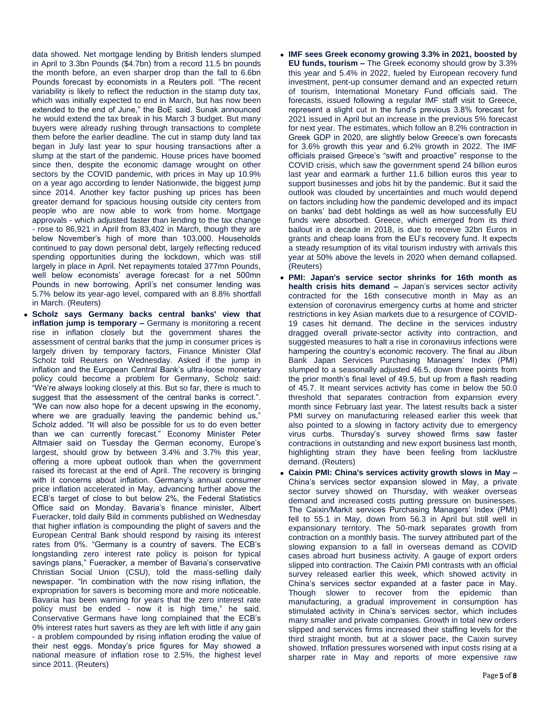data showed. Net mortgage lending by British lenders slumped in April to 3.3bn Pounds (\$4.7bn) from a record 11.5 bn pounds the month before, an even sharper drop than the fall to 6.6bn Pounds forecast by economists in a Reuters poll. "The recent variability is likely to reflect the reduction in the stamp duty tax, which was initially expected to end in March, but has now been extended to the end of June," the BoE said. Sunak announced he would extend the tax break in his March 3 budget. But many buyers were already rushing through transactions to complete them before the earlier deadline. The cut in stamp duty land tax began in July last year to spur housing transactions after a slump at the start of the pandemic. House prices have boomed since then, despite the economic damage wrought on other sectors by the COVID pandemic, with prices in May up 10.9% on a year ago according to lender Nationwide, the biggest jump since 2014. Another key factor pushing up prices has been greater demand for spacious housing outside city centers from people who are now able to work from home. Mortgage approvals - which adjusted faster than lending to the tax change - rose to 86,921 in April from 83,402 in March, though they are below November's high of more than 103,000. Households continued to pay down personal debt, largely reflecting reduced spending opportunities during the lockdown, which was still largely in place in April. Net repayments totaled 377mn Pounds, well below economists' average forecast for a net 500mn Pounds in new borrowing. April's net consumer lending was 5.7% below its year-ago level, compared with an 8.8% shortfall in March. (Reuters)

- **Scholz says Germany backs central banks' view that inflation jump is temporary –** Germany is monitoring a recent rise in inflation closely but the government shares the assessment of central banks that the jump in consumer prices is largely driven by temporary factors, Finance Minister Olaf Scholz told Reuters on Wednesday. Asked if the jump in inflation and the European Central Bank's ultra-loose monetary policy could become a problem for Germany, Scholz said: "We're always looking closely at this. But so far, there is much to suggest that the assessment of the central banks is correct.". "We can now also hope for a decent upswing in the economy, where we are gradually leaving the pandemic behind us," Scholz added. "It will also be possible for us to do even better than we can currently forecast." Economy Minister Peter Altmaier said on Tuesday the German economy, Europe's largest, should grow by between 3.4% and 3.7% this year, offering a more upbeat outlook than when the government raised its forecast at the end of April. The recovery is bringing with it concerns about inflation. Germany's annual consumer price inflation accelerated in May, advancing further above the ECB's target of close to but below 2%, the Federal Statistics Office said on Monday. Bavaria's finance minister, Albert Fueracker, told daily Bild in comments published on Wednesday that higher inflation is compounding the plight of savers and the European Central Bank should respond by raising its interest rates from 0%. "Germany is a country of savers. The ECB's longstanding zero interest rate policy is poison for typical savings plans," Fueracker, a member of Bavaria's conservative Christian Social Union (CSU), told the mass-selling daily newspaper. "In combination with the now rising inflation, the expropriation for savers is becoming more and more noticeable. Bavaria has been warning for years that the zero interest rate policy must be ended - now it is high time," he said. Conservative Germans have long complained that the ECB's 0% interest rates hurt savers as they are left with little if any gain - a problem compounded by rising inflation eroding the value of their nest eggs. Monday's price figures for May showed a national measure of inflation rose to 2.5%, the highest level since 2011. (Reuters)
- **IMF sees Greek economy growing 3.3% in 2021, boosted by EU funds, tourism –** The Greek economy should grow by 3.3% this year and 5.4% in 2022, fueled by European recovery fund investment, pent-up consumer demand and an expected return of tourism, International Monetary Fund officials said. The forecasts, issued following a regular IMF staff visit to Greece, represent a slight cut in the fund's previous 3.8% forecast for 2021 issued in April but an increase in the previous 5% forecast for next year. The estimates, which follow an 8.2% contraction in Greek GDP in 2020, are slightly below Greece's own forecasts for 3.6% growth this year and 6.2% growth in 2022. The IMF officials praised Greece's "swift and proactive" response to the COVID crisis, which saw the government spend 24 billion euros last year and earmark a further 11.6 billion euros this year to support businesses and jobs hit by the pandemic. But it said the outlook was clouded by uncertainties and much would depend on factors including how the pandemic developed and its impact on banks' bad debt holdings as well as how successfully EU funds were absorbed. Greece, which emerged from its third bailout in a decade in 2018, is due to receive 32bn Euros in grants and cheap loans from the EU's recovery fund. It expects a steady resumption of its vital tourism industry with arrivals this year at 50% above the levels in 2020 when demand collapsed. (Reuters)
- **PMI: Japan's service sector shrinks for 16th month as health crisis hits demand –** Japan's services sector activity contracted for the 16th consecutive month in May as an extension of coronavirus emergency curbs at home and stricter restrictions in key Asian markets due to a resurgence of COVID-19 cases hit demand. The decline in the services industry dragged overall private-sector activity into contraction, and suggested measures to halt a rise in coronavirus infections were hampering the country's economic recovery. The final au Jibun Bank Japan Services Purchasing Managers' Index (PMI) slumped to a seasonally adjusted 46.5, down three points from the prior month's final level of 49.5, but up from a flash reading of 45.7. It meant services activity has come in below the 50.0 threshold that separates contraction from expansion every month since February last year. The latest results back a sister PMI survey on manufacturing released earlier this week that also pointed to a slowing in factory activity due to emergency virus curbs. Thursday's survey showed firms saw faster contractions in outstanding and new export business last month, highlighting strain they have been feeling from lacklustre demand. (Reuters)
- **Caixin PMI: China's services activity growth slows in May –** China's services sector expansion slowed in May, a private sector survey showed on Thursday, with weaker overseas demand and increased costs putting pressure on businesses. The Caixin/Markit services Purchasing Managers' Index (PMI) fell to 55.1 in May, down from 56.3 in April but still well in expansionary territory. The 50-mark separates growth from contraction on a monthly basis. The survey attributed part of the slowing expansion to a fall in overseas demand as COVID cases abroad hurt business activity. A gauge of export orders slipped into contraction. The Caixin PMI contrasts with an official survey released earlier this week, which showed activity in China's services sector expanded at a faster pace in May. Though slower to recover from the epidemic than manufacturing, a gradual improvement in consumption has stimulated activity in China's services sector, which includes many smaller and private companies. Growth in total new orders slipped and services firms increased their staffing levels for the third straight month, but at a slower pace, the Caixin survey showed. Inflation pressures worsened with input costs rising at a sharper rate in May and reports of more expensive raw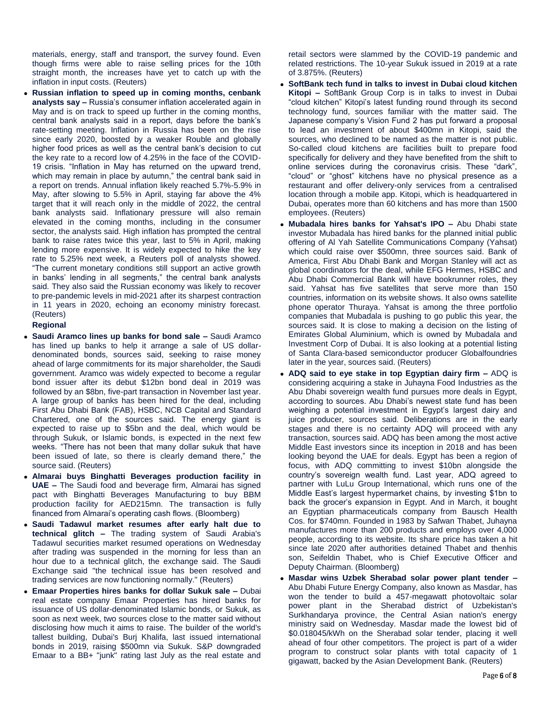materials, energy, staff and transport, the survey found. Even though firms were able to raise selling prices for the 10th straight month, the increases have yet to catch up with the inflation in input costs. (Reuters)

 **Russian inflation to speed up in coming months, cenbank analysts say –** Russia's consumer inflation accelerated again in May and is on track to speed up further in the coming months, central bank analysts said in a report, days before the bank's rate-setting meeting. Inflation in Russia has been on the rise since early 2020, boosted by a weaker Rouble and globally higher food prices as well as the central bank's decision to cut the key rate to a record low of 4.25% in the face of the COVID-19 crisis. "Inflation in May has returned on the upward trend, which may remain in place by autumn," the central bank said in a report on trends. Annual inflation likely reached 5.7%-5.9% in May, after slowing to 5.5% in April, staying far above the 4% target that it will reach only in the middle of 2022, the central bank analysts said. Inflationary pressure will also remain elevated in the coming months, including in the consumer sector, the analysts said. High inflation has prompted the central bank to raise rates twice this year, last to 5% in April, making lending more expensive. It is widely expected to hike the key rate to 5.25% next week, a Reuters poll of analysts showed. "The current monetary conditions still support an active growth in banks' lending in all segments," the central bank analysts said. They also said the Russian economy was likely to recover to pre-pandemic levels in mid-2021 after its sharpest contraction in 11 years in 2020, echoing an economy ministry forecast. (Reuters)

# **Regional**

- **Saudi Aramco lines up banks for bond sale –** Saudi Aramco has lined up banks to help it arrange a sale of US dollardenominated bonds, sources said, seeking to raise money ahead of large commitments for its major shareholder, the Saudi government. Aramco was widely expected to become a regular bond issuer after its debut \$12bn bond deal in 2019 was followed by an \$8bn, five-part transaction in November last year. A large group of banks has been hired for the deal, including First Abu Dhabi Bank (FAB), HSBC, NCB Capital and Standard Chartered, one of the sources said. The energy giant is expected to raise up to \$5bn and the deal, which would be through Sukuk, or Islamic bonds, is expected in the next few weeks. "There has not been that many dollar sukuk that have been issued of late, so there is clearly demand there," the source said. (Reuters)
- **Almarai buys Binghatti Beverages production facility in UAE –** The Saudi food and beverage firm, Almarai has signed pact with Binghatti Beverages Manufacturing to buy BBM production facility for AED215mn. The transaction is fully financed from Almarai's operating cash flows. (Bloomberg)
- **Saudi Tadawul market resumes after early halt due to technical glitch –** The trading system of Saudi Arabia's Tadawul securities market resumed operations on Wednesday after trading was suspended in the morning for less than an hour due to a technical glitch, the exchange said. The Saudi Exchange said "the technical issue has been resolved and trading services are now functioning normally." (Reuters)
- **Emaar Properties hires banks for dollar Sukuk sale –** Dubai real estate company Emaar Properties has hired banks for issuance of US dollar-denominated Islamic bonds, or Sukuk, as soon as next week, two sources close to the matter said without disclosing how much it aims to raise. The builder of the world's tallest building, Dubai's Burj Khalifa, last issued international bonds in 2019, raising \$500mn via Sukuk. S&P downgraded Emaar to a BB+ "junk" rating last July as the real estate and

retail sectors were slammed by the COVID-19 pandemic and related restrictions. The 10-year Sukuk issued in 2019 at a rate of 3.875%. (Reuters)

- **SoftBank tech fund in talks to invest in Dubai cloud kitchen Kitopi –** SoftBank Group Corp is in talks to invest in Dubai "cloud kitchen" Kitopi's latest funding round through its second technology fund, sources familiar with the matter said. The Japanese company's Vision Fund 2 has put forward a proposal to lead an investment of about \$400mn in Kitopi, said the sources, who declined to be named as the matter is not public. So-called cloud kitchens are facilities built to prepare food specifically for delivery and they have benefited from the shift to online services during the coronavirus crisis. These "dark", "cloud" or "ghost" kitchens have no physical presence as a restaurant and offer delivery-only services from a centralised location through a mobile app. Kitopi, which is headquartered in Dubai, operates more than 60 kitchens and has more than 1500 employees. (Reuters)
- **Mubadala hires banks for Yahsat's IPO –** Abu Dhabi state investor Mubadala has hired banks for the planned initial public offering of Al Yah Satellite Communications Company (Yahsat) which could raise over \$500mn, three sources said. Bank of America, First Abu Dhabi Bank and Morgan Stanley will act as global coordinators for the deal, while EFG Hermes, HSBC and Abu Dhabi Commercial Bank will have bookrunner roles, they said. Yahsat has five satellites that serve more than 150 countries, information on its website shows. It also owns satellite phone operator Thuraya. Yahsat is among the three portfolio companies that Mubadala is pushing to go public this year, the sources said. It is close to making a decision on the listing of Emirates Global Aluminium, which is owned by Mubadala and Investment Corp of Dubai. It is also looking at a potential listing of Santa Clara-based semiconductor producer Globalfoundries later in the year, sources said. (Reuters)
- **ADQ said to eye stake in top Egyptian dairy firm –** ADQ is considering acquiring a stake in Juhayna Food Industries as the Abu Dhabi sovereign wealth fund pursues more deals in Egypt, according to sources. Abu Dhabi's newest state fund has been weighing a potential investment in Egypt's largest dairy and juice producer, sources said. Deliberations are in the early stages and there is no certainty ADQ will proceed with any transaction, sources said. ADQ has been among the most active Middle East investors since its inception in 2018 and has been looking beyond the UAE for deals. Egypt has been a region of focus, with ADQ committing to invest \$10bn alongside the country's sovereign wealth fund. Last year, ADQ agreed to partner with LuLu Group International, which runs one of the Middle East's largest hypermarket chains, by investing \$1bn to back the grocer's expansion in Egypt. And in March, it bought an Egyptian pharmaceuticals company from Bausch Health Cos. for \$740mn. Founded in 1983 by Safwan Thabet, Juhayna manufactures more than 200 products and employs over 4,000 people, according to its website. Its share price has taken a hit since late 2020 after authorities detained Thabet and thenhis son, Seifeldin Thabet, who is Chief Executive Officer and Deputy Chairman. (Bloomberg)
- **Masdar wins Uzbek Sherabad solar power plant tender –** Abu Dhabi Future Energy Company, also known as Masdar, has won the tender to build a 457-megawatt photovoltaic solar power plant in the Sherabad district of Uzbekistan's Surkhandarya province, the Central Asian nation's energy ministry said on Wednesday. Masdar made the lowest bid of \$0.018045/kWh on the Sherabad solar tender, placing it well ahead of four other competitors. The project is part of a wider program to construct solar plants with total capacity of 1 gigawatt, backed by the Asian Development Bank. (Reuters)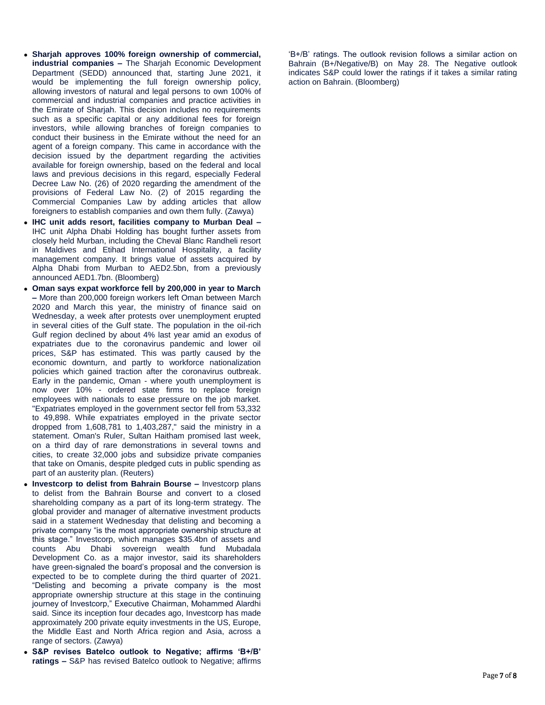- **Sharjah approves 100% foreign ownership of commercial, industrial companies –** The Sharjah Economic Development Department (SEDD) announced that, starting June 2021, it would be implementing the full foreign ownership policy, allowing investors of natural and legal persons to own 100% of commercial and industrial companies and practice activities in the Emirate of Sharjah. This decision includes no requirements such as a specific capital or any additional fees for foreign investors, while allowing branches of foreign companies to conduct their business in the Emirate without the need for an agent of a foreign company. This came in accordance with the decision issued by the department regarding the activities available for foreign ownership, based on the federal and local laws and previous decisions in this regard, especially Federal Decree Law No. (26) of 2020 regarding the amendment of the provisions of Federal Law No. (2) of 2015 regarding the Commercial Companies Law by adding articles that allow foreigners to establish companies and own them fully. (Zawya)
- **IHC unit adds resort, facilities company to Murban Deal –** IHC unit Alpha Dhabi Holding has bought further assets from closely held Murban, including the Cheval Blanc Randheli resort in Maldives and Etihad International Hospitality, a facility management company. It brings value of assets acquired by Alpha Dhabi from Murban to AED2.5bn, from a previously announced AED1.7bn. (Bloomberg)
- **Oman says expat workforce fell by 200,000 in year to March –** More than 200,000 foreign workers left Oman between March 2020 and March this year, the ministry of finance said on Wednesday, a week after protests over unemployment erupted in several cities of the Gulf state. The population in the oil-rich Gulf region declined by about 4% last year amid an exodus of expatriates due to the coronavirus pandemic and lower oil prices, S&P has estimated. This was partly caused by the economic downturn, and partly to workforce nationalization policies which gained traction after the coronavirus outbreak. Early in the pandemic, Oman - where youth unemployment is now over 10% - ordered state firms to replace foreign employees with nationals to ease pressure on the job market. "Expatriates employed in the government sector fell from 53,332 to 49,898. While expatriates employed in the private sector dropped from 1,608,781 to 1,403,287," said the ministry in a statement. Oman's Ruler, Sultan Haitham promised last week, on a third day of rare demonstrations in several towns and cities, to create 32,000 jobs and subsidize private companies that take on Omanis, despite pledged cuts in public spending as part of an austerity plan. (Reuters)
- **Investcorp to delist from Bahrain Bourse –** Investcorp plans to delist from the Bahrain Bourse and convert to a closed shareholding company as a part of its long-term strategy. The global provider and manager of alternative investment products said in a statement Wednesday that delisting and becoming a private company "is the most appropriate ownership structure at this stage." Investcorp, which manages \$35.4bn of assets and counts Abu Dhabi sovereign wealth fund Mubadala Development Co. as a major investor, said its shareholders have green-signaled the board's proposal and the conversion is expected to be to complete during the third quarter of 2021. "Delisting and becoming a private company is the most appropriate ownership structure at this stage in the continuing journey of Investcorp," Executive Chairman, Mohammed Alardhi said. Since its inception four decades ago, Investcorp has made approximately 200 private equity investments in the US, Europe, the Middle East and North Africa region and Asia, across a range of sectors. (Zawya)
- **S&P revises Batelco outlook to Negative; affirms 'B+/B' ratings –** S&P has revised Batelco outlook to Negative; affirms

'B+/B' ratings. The outlook revision follows a similar action on Bahrain (B+/Negative/B) on May 28. The Negative outlook indicates S&P could lower the ratings if it takes a similar rating action on Bahrain. (Bloomberg)